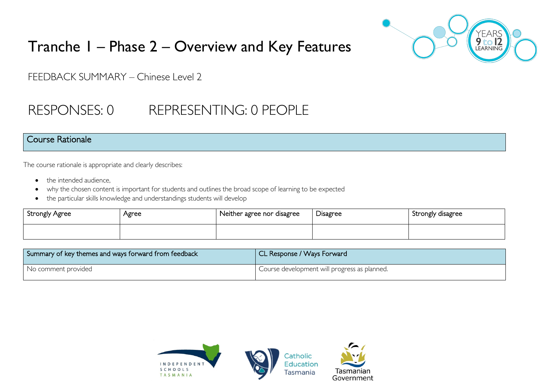

# Tranche 1 – Phase 2 – Overview and Key Features

FEEDBACK SUMMARY – Chinese Level 2

## RESPONSES: 0 REPRESENTING: 0 PEOPLE

#### Course Rationale

The course rationale is appropriate and clearly describes:

- the intended audience.
- why the chosen content is important for students and outlines the broad scope of learning to be expected
- the particular skills knowledge and understandings students will develop

| Strongly Agree | Agree | Neither agree nor disagree | $\sim$<br>Disagree | Strongly disagree |
|----------------|-------|----------------------------|--------------------|-------------------|
|                |       |                            |                    |                   |

| Summary of key themes and ways forward from feedback | CL Response / Ways Forward                   |
|------------------------------------------------------|----------------------------------------------|
| No comment provided                                  | Course development will progress as planned. |

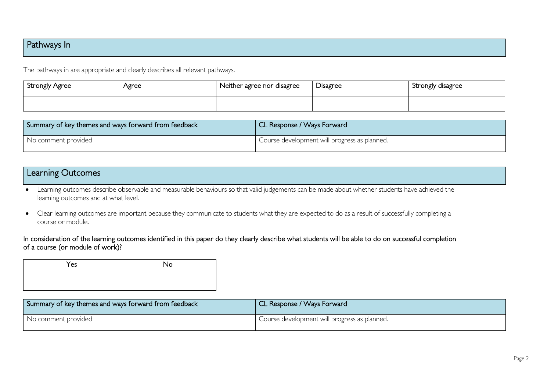## Pathways In

The pathways in are appropriate and clearly describes all relevant pathways.

| <b>Strongly Agree</b> | Agree | Neither agree nor disagree | Disagree | Strongly disagree |
|-----------------------|-------|----------------------------|----------|-------------------|
|                       |       |                            |          |                   |

| Summary of key themes and ways forward from feedback | CL Response / Ways Forward                   |
|------------------------------------------------------|----------------------------------------------|
| No comment provided                                  | Course development will progress as planned. |

### Learning Outcomes

• Learning outcomes describe observable and measurable behaviours so that valid judgements can be made about whether students have achieved the learning outcomes and at what level.

• Clear learning outcomes are important because they communicate to students what they are expected to do as a result of successfully completing a course or module.

#### In consideration of the learning outcomes identified in this paper do they clearly describe what students will be able to do on successful completion of a course (or module of work)?

| Yes | No |
|-----|----|
|     |    |

| Summary of key themes and ways forward from feedback | CL Response / Ways Forward                   |
|------------------------------------------------------|----------------------------------------------|
| No comment provided                                  | Course development will progress as planned. |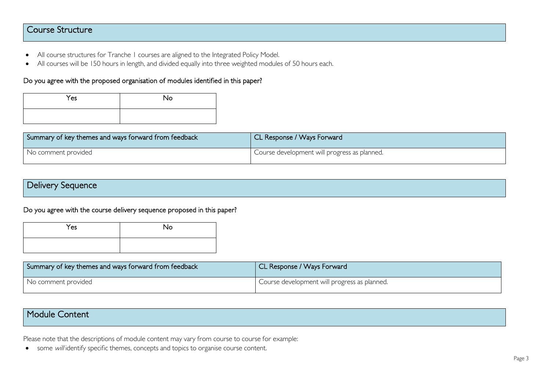### Course Structure

- All course structures for Tranche 1 courses are aligned to the Integrated Policy Model.
- All courses will be 150 hours in length, and divided equally into three weighted modules of 50 hours each.

#### Do you agree with the proposed organisation of modules identified in this paper?

| Yes | <b>No</b> |
|-----|-----------|
|     |           |

| Summary of key themes and ways forward from feedback | CL Response / Ways Forward                   |
|------------------------------------------------------|----------------------------------------------|
| No comment provided                                  | Course development will progress as planned. |

Do you agree with the course delivery sequence proposed in this paper?

| Yes | No |
|-----|----|
|     |    |

| Summary of key themes and ways forward from feedback | CL Response / Ways Forward                   |
|------------------------------------------------------|----------------------------------------------|
| No comment provided                                  | Course development will progress as planned. |

## Module Content

Please note that the descriptions of module content may vary from course to course for example:

• some will identify specific themes, concepts and topics to organise course content.